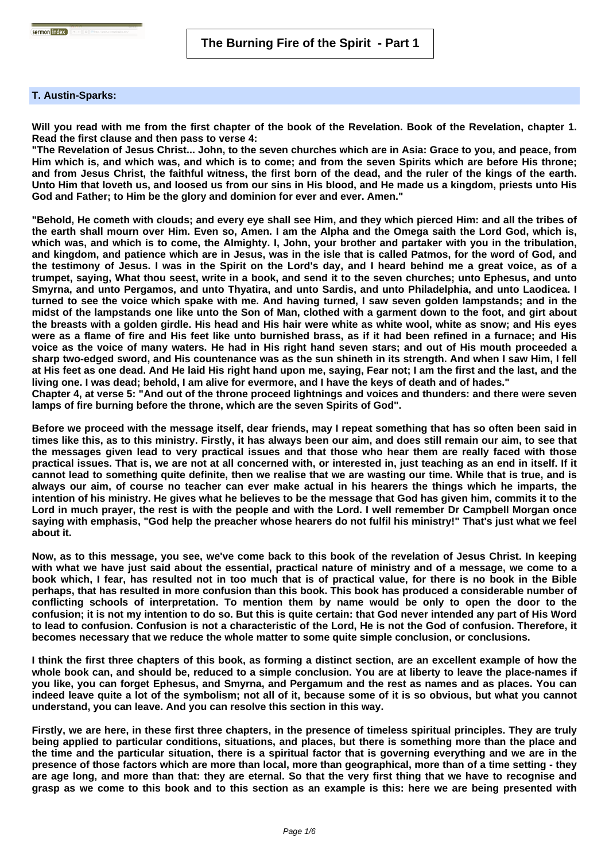## **T. Austin-Sparks:**

**Will you read with me from the first chapter of the book of the Revelation. Book of the Revelation, chapter 1. Read the first clause and then pass to verse 4:**

**"The Revelation of Jesus Christ... John, to the seven churches which are in Asia: Grace to you, and peace, from Him which is, and which was, and which is to come; and from the seven Spirits which are before His throne; and from Jesus Christ, the faithful witness, the first born of the dead, and the ruler of the kings of the earth. Unto Him that loveth us, and loosed us from our sins in His blood, and He made us a kingdom, priests unto His God and Father; to Him be the glory and dominion for ever and ever. Amen."**

**"Behold, He cometh with clouds; and every eye shall see Him, and they which pierced Him: and all the tribes of the earth shall mourn over Him. Even so, Amen. I am the Alpha and the Omega saith the Lord God, which is, which was, and which is to come, the Almighty. I, John, your brother and partaker with you in the tribulation, and kingdom, and patience which are in Jesus, was in the isle that is called Patmos, for the word of God, and the testimony of Jesus. I was in the Spirit on the Lord's day, and I heard behind me a great voice, as of a trumpet, saying, What thou seest, write in a book, and send it to the seven churches; unto Ephesus, and unto Smyrna, and unto Pergamos, and unto Thyatira, and unto Sardis, and unto Philadelphia, and unto Laodicea. I turned to see the voice which spake with me. And having turned, I saw seven golden lampstands; and in the midst of the lampstands one like unto the Son of Man, clothed with a garment down to the foot, and girt about the breasts with a golden girdle. His head and His hair were white as white wool, white as snow; and His eyes were as a flame of fire and His feet like unto burnished brass, as if it had been refined in a furnace; and His voice as the voice of many waters. He had in His right hand seven stars; and out of His mouth proceeded a sharp two-edged sword, and His countenance was as the sun shineth in its strength. And when I saw Him, I fell at His feet as one dead. And He laid His right hand upon me, saying, Fear not; I am the first and the last, and the living one. I was dead; behold, I am alive for evermore, and I have the keys of death and of hades."**

**Chapter 4, at verse 5: "And out of the throne proceed lightnings and voices and thunders: and there were seven lamps of fire burning before the throne, which are the seven Spirits of God".**

**Before we proceed with the message itself, dear friends, may I repeat something that has so often been said in times like this, as to this ministry. Firstly, it has always been our aim, and does still remain our aim, to see that the messages given lead to very practical issues and that those who hear them are really faced with those practical issues. That is, we are not at all concerned with, or interested in, just teaching as an end in itself. If it cannot lead to something quite definite, then we realise that we are wasting our time. While that is true, and is always our aim, of course no teacher can ever make actual in his hearers the things which he imparts, the intention of his ministry. He gives what he believes to be the message that God has given him, commits it to the Lord in much prayer, the rest is with the people and with the Lord. I well remember Dr Campbell Morgan once saying with emphasis, "God help the preacher whose hearers do not fulfil his ministry!" That's just what we feel about it.** 

**Now, as to this message, you see, we've come back to this book of the revelation of Jesus Christ. In keeping with what we have just said about the essential, practical nature of ministry and of a message, we come to a book which, I fear, has resulted not in too much that is of practical value, for there is no book in the Bible perhaps, that has resulted in more confusion than this book. This book has produced a considerable number of conflicting schools of interpretation. To mention them by name would be only to open the door to the confusion; it is not my intention to do so. But this is quite certain: that God never intended any part of His Word to lead to confusion. Confusion is not a characteristic of the Lord, He is not the God of confusion. Therefore, it becomes necessary that we reduce the whole matter to some quite simple conclusion, or conclusions.** 

**I think the first three chapters of this book, as forming a distinct section, are an excellent example of how the whole book can, and should be, reduced to a simple conclusion. You are at liberty to leave the place-names if you like, you can forget Ephesus, and Smyrna, and Pergamum and the rest as names and as places. You can indeed leave quite a lot of the symbolism; not all of it, because some of it is so obvious, but what you cannot understand, you can leave. And you can resolve this section in this way.** 

**Firstly, we are here, in these first three chapters, in the presence of timeless spiritual principles. They are truly being applied to particular conditions, situations, and places, but there is something more than the place and the time and the particular situation, there is a spiritual factor that is governing everything and we are in the presence of those factors which are more than local, more than geographical, more than of a time setting - they are age long, and more than that: they are eternal. So that the very first thing that we have to recognise and grasp as we come to this book and to this section as an example is this: here we are being presented with**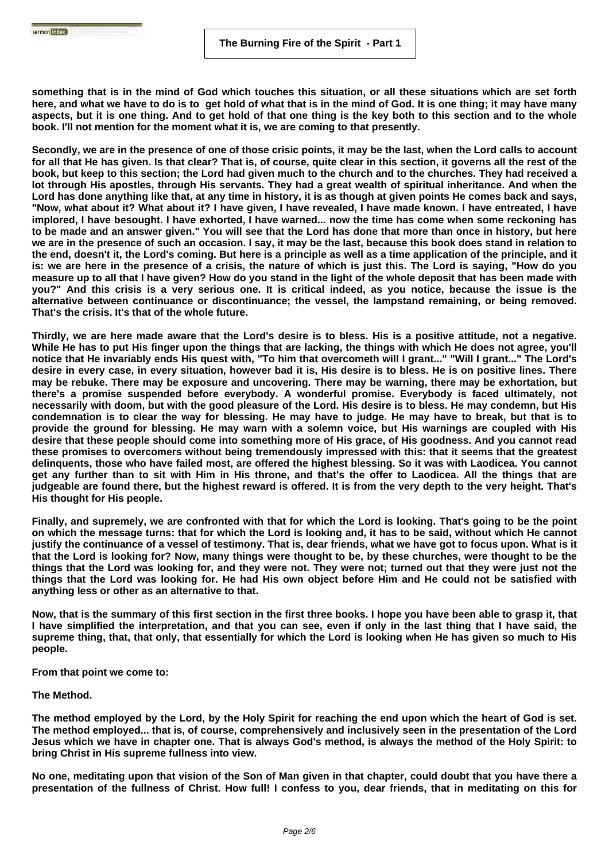**something that is in the mind of God which touches this situation, or all these situations which are set forth here, and what we have to do is to get hold of what that is in the mind of God. It is one thing; it may have many aspects, but it is one thing. And to get hold of that one thing is the key both to this section and to the whole book. I'll not mention for the moment what it is, we are coming to that presently.** 

**Secondly, we are in the presence of one of those crisic points, it may be the last, when the Lord calls to account for all that He has given. Is that clear? That is, of course, quite clear in this section, it governs all the rest of the book, but keep to this section; the Lord had given much to the church and to the churches. They had received a lot through His apostles, through His servants. They had a great wealth of spiritual inheritance. And when the Lord has done anything like that, at any time in history, it is as though at given points He comes back and says, "Now, what about it? What about it? I have given, I have revealed, I have made known. I have entreated, I have implored, I have besought. I have exhorted, I have warned... now the time has come when some reckoning has to be made and an answer given." You will see that the Lord has done that more than once in history, but here we are in the presence of such an occasion. I say, it may be the last, because this book does stand in relation to the end, doesn't it, the Lord's coming. But here is a principle as well as a time application of the principle, and it is: we are here in the presence of a crisis, the nature of which is just this. The Lord is saying, "How do you measure up to all that I have given? How do you stand in the light of the whole deposit that has been made with you?" And this crisis is a very serious one. It is critical indeed, as you notice, because the issue is the alternative between continuance or discontinuance; the vessel, the lampstand remaining, or being removed. That's the crisis. It's that of the whole future.**

**Thirdly, we are here made aware that the Lord's desire is to bless. His is a positive attitude, not a negative. While He has to put His finger upon the things that are lacking, the things with which He does not agree, you'll notice that He invariably ends His quest with, "To him that overcometh will I grant..." "Will I grant..." The Lord's desire in every case, in every situation, however bad it is, His desire is to bless. He is on positive lines. There may be rebuke. There may be exposure and uncovering. There may be warning, there may be exhortation, but there's a promise suspended before everybody. A wonderful promise. Everybody is faced ultimately, not necessarily with doom, but with the good pleasure of the Lord. His desire is to bless. He may condemn, but His condemnation is to clear the way for blessing. He may have to judge. He may have to break, but that is to provide the ground for blessing. He may warn with a solemn voice, but His warnings are coupled with His desire that these people should come into something more of His grace, of His goodness. And you cannot read these promises to overcomers without being tremendously impressed with this: that it seems that the greatest delinquents, those who have failed most, are offered the highest blessing. So it was with Laodicea. You cannot get any further than to sit with Him in His throne, and that's the offer to Laodicea. All the things that are judgeable are found there, but the highest reward is offered. It is from the very depth to the very height. That's His thought for His people.**

**Finally, and supremely, we are confronted with that for which the Lord is looking. That's going to be the point on which the message turns: that for which the Lord is looking and, it has to be said, without which He cannot justify the continuance of a vessel of testimony. That is, dear friends, what we have got to focus upon. What is it that the Lord is looking for? Now, many things were thought to be, by these churches, were thought to be the things that the Lord was looking for, and they were not. They were not; turned out that they were just not the things that the Lord was looking for. He had His own object before Him and He could not be satisfied with anything less or other as an alternative to that.** 

**Now, that is the summary of this first section in the first three books. I hope you have been able to grasp it, that I have simplified the interpretation, and that you can see, even if only in the last thing that I have said, the supreme thing, that, that only, that essentially for which the Lord is looking when He has given so much to His people.** 

**From that point we come to:**

**The Method.**

Sermon index **Reserves** 

**The method employed by the Lord, by the Holy Spirit for reaching the end upon which the heart of God is set. The method employed... that is, of course, comprehensively and inclusively seen in the presentation of the Lord Jesus which we have in chapter one. That is always God's method, is always the method of the Holy Spirit: to bring Christ in His supreme fullness into view.** 

**No one, meditating upon that vision of the Son of Man given in that chapter, could doubt that you have there a presentation of the fullness of Christ. How full! I confess to you, dear friends, that in meditating on this for**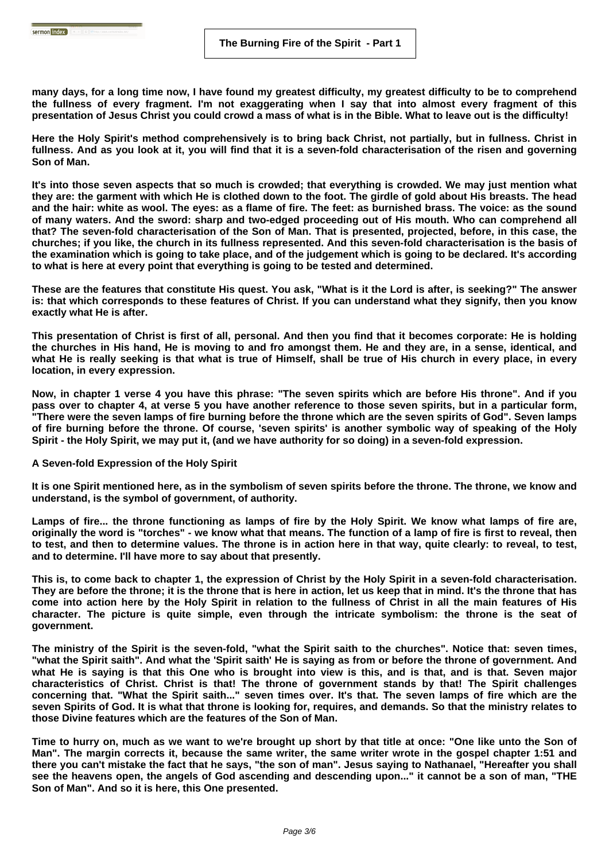**many days, for a long time now, I have found my greatest difficulty, my greatest difficulty to be to comprehend the fullness of every fragment. I'm not exaggerating when I say that into almost every fragment of this presentation of Jesus Christ you could crowd a mass of what is in the Bible. What to leave out is the difficulty!** 

**Here the Holy Spirit's method comprehensively is to bring back Christ, not partially, but in fullness. Christ in fullness. And as you look at it, you will find that it is a seven-fold characterisation of the risen and governing Son of Man.** 

**It's into those seven aspects that so much is crowded; that everything is crowded. We may just mention what they are: the garment with which He is clothed down to the foot. The girdle of gold about His breasts. The head and the hair: white as wool. The eyes: as a flame of fire. The feet: as burnished brass. The voice: as the sound of many waters. And the sword: sharp and two-edged proceeding out of His mouth. Who can comprehend all that? The seven-fold characterisation of the Son of Man. That is presented, projected, before, in this case, the churches; if you like, the church in its fullness represented. And this seven-fold characterisation is the basis of the examination which is going to take place, and of the judgement which is going to be declared. It's according to what is here at every point that everything is going to be tested and determined.** 

**These are the features that constitute His quest. You ask, "What is it the Lord is after, is seeking?" The answer is: that which corresponds to these features of Christ. If you can understand what they signify, then you know exactly what He is after.** 

**This presentation of Christ is first of all, personal. And then you find that it becomes corporate: He is holding the churches in His hand, He is moving to and fro amongst them. He and they are, in a sense, identical, and what He is really seeking is that what is true of Himself, shall be true of His church in every place, in every location, in every expression.** 

**Now, in chapter 1 verse 4 you have this phrase: "The seven spirits which are before His throne". And if you pass over to chapter 4, at verse 5 you have another reference to those seven spirits, but in a particular form, "There were the seven lamps of fire burning before the throne which are the seven spirits of God". Seven lamps of fire burning before the throne. Of course, 'seven spirits' is another symbolic way of speaking of the Holy Spirit - the Holy Spirit, we may put it, (and we have authority for so doing) in a seven-fold expression.** 

**A Seven-fold Expression of the Holy Spirit**

sermon index **and the company** 

**It is one Spirit mentioned here, as in the symbolism of seven spirits before the throne. The throne, we know and understand, is the symbol of government, of authority.** 

**Lamps of fire... the throne functioning as lamps of fire by the Holy Spirit. We know what lamps of fire are, originally the word is "torches" - we know what that means. The function of a lamp of fire is first to reveal, then to test, and then to determine values. The throne is in action here in that way, quite clearly: to reveal, to test, and to determine. I'll have more to say about that presently.** 

**This is, to come back to chapter 1, the expression of Christ by the Holy Spirit in a seven-fold characterisation. They are before the throne; it is the throne that is here in action, let us keep that in mind. It's the throne that has come into action here by the Holy Spirit in relation to the fullness of Christ in all the main features of His character. The picture is quite simple, even through the intricate symbolism: the throne is the seat of government.** 

**The ministry of the Spirit is the seven-fold, "what the Spirit saith to the churches". Notice that: seven times, "what the Spirit saith". And what the 'Spirit saith' He is saying as from or before the throne of government. And what He is saying is that this One who is brought into view is this, and is that, and is that. Seven major characteristics of Christ. Christ is that! The throne of government stands by that! The Spirit challenges concerning that. "What the Spirit saith..." seven times over. It's that. The seven lamps of fire which are the seven Spirits of God. It is what that throne is looking for, requires, and demands. So that the ministry relates to those Divine features which are the features of the Son of Man.** 

**Time to hurry on, much as we want to we're brought up short by that title at once: "One like unto the Son of Man". The margin corrects it, because the same writer, the same writer wrote in the gospel chapter 1:51 and there you can't mistake the fact that he says, "the son of man". Jesus saying to Nathanael, "Hereafter you shall see the heavens open, the angels of God ascending and descending upon..." it cannot be a son of man, "THE Son of Man". And so it is here, this One presented.**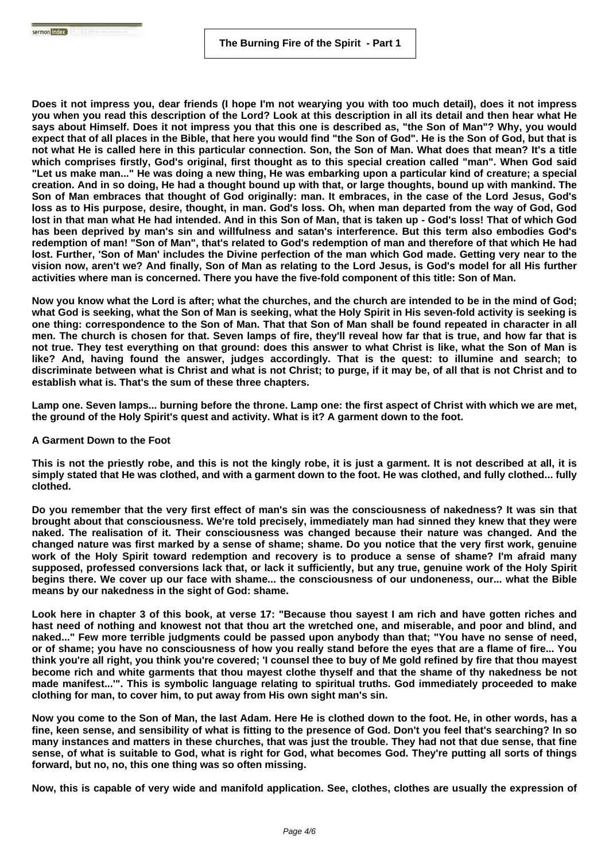**Does it not impress you, dear friends (I hope I'm not wearying you with too much detail), does it not impress you when you read this description of the Lord? Look at this description in all its detail and then hear what He says about Himself. Does it not impress you that this one is described as, "the Son of Man"? Why, you would expect that of all places in the Bible, that here you would find "the Son of God". He is the Son of God, but that is not what He is called here in this particular connection. Son, the Son of Man. What does that mean? It's a title which comprises firstly, God's original, first thought as to this special creation called "man". When God said "Let us make man..." He was doing a new thing, He was embarking upon a particular kind of creature; a special creation. And in so doing, He had a thought bound up with that, or large thoughts, bound up with mankind. The Son of Man embraces that thought of God originally: man. It embraces, in the case of the Lord Jesus, God's loss as to His purpose, desire, thought, in man. God's loss. Oh, when man departed from the way of God, God lost in that man what He had intended. And in this Son of Man, that is taken up - God's loss! That of which God has been deprived by man's sin and willfulness and satan's interference. But this term also embodies God's redemption of man! "Son of Man", that's related to God's redemption of man and therefore of that which He had lost. Further, 'Son of Man' includes the Divine perfection of the man which God made. Getting very near to the vision now, aren't we? And finally, Son of Man as relating to the Lord Jesus, is God's model for all His further activities where man is concerned. There you have the five-fold component of this title: Son of Man.** 

**Now you know what the Lord is after; what the churches, and the church are intended to be in the mind of God; what God is seeking, what the Son of Man is seeking, what the Holy Spirit in His seven-fold activity is seeking is one thing: correspondence to the Son of Man. That that Son of Man shall be found repeated in character in all men. The church is chosen for that. Seven lamps of fire, they'll reveal how far that is true, and how far that is not true. They test everything on that ground: does this answer to what Christ is like, what the Son of Man is like? And, having found the answer, judges accordingly. That is the quest: to illumine and search; to discriminate between what is Christ and what is not Christ; to purge, if it may be, of all that is not Christ and to establish what is. That's the sum of these three chapters.** 

**Lamp one. Seven lamps... burning before the throne. Lamp one: the first aspect of Christ with which we are met, the ground of the Holy Spirit's quest and activity. What is it? A garment down to the foot.** 

## **A Garment Down to the Foot**

**This is not the priestly robe, and this is not the kingly robe, it is just a garment. It is not described at all, it is simply stated that He was clothed, and with a garment down to the foot. He was clothed, and fully clothed... fully clothed.** 

**Do you remember that the very first effect of man's sin was the consciousness of nakedness? It was sin that brought about that consciousness. We're told precisely, immediately man had sinned they knew that they were naked. The realisation of it. Their consciousness was changed because their nature was changed. And the changed nature was first marked by a sense of shame; shame. Do you notice that the very first work, genuine work of the Holy Spirit toward redemption and recovery is to produce a sense of shame? I'm afraid many supposed, professed conversions lack that, or lack it sufficiently, but any true, genuine work of the Holy Spirit begins there. We cover up our face with shame... the consciousness of our undoneness, our... what the Bible means by our nakedness in the sight of God: shame.** 

**Look here in chapter 3 of this book, at verse 17: "Because thou sayest I am rich and have gotten riches and hast need of nothing and knowest not that thou art the wretched one, and miserable, and poor and blind, and naked..." Few more terrible judgments could be passed upon anybody than that; "You have no sense of need, or of shame; you have no consciousness of how you really stand before the eyes that are a flame of fire... You think you're all right, you think you're covered; 'I counsel thee to buy of Me gold refined by fire that thou mayest become rich and white garments that thou mayest clothe thyself and that the shame of thy nakedness be not made manifest...'". This is symbolic language relating to spiritual truths. God immediately proceeded to make clothing for man, to cover him, to put away from His own sight man's sin.** 

**Now you come to the Son of Man, the last Adam. Here He is clothed down to the foot. He, in other words, has a fine, keen sense, and sensibility of what is fitting to the presence of God. Don't you feel that's searching? In so many instances and matters in these churches, that was just the trouble. They had not that due sense, that fine sense, of what is suitable to God, what is right for God, what becomes God. They're putting all sorts of things forward, but no, no, this one thing was so often missing.** 

**Now, this is capable of very wide and manifold application. See, clothes, clothes are usually the expression of**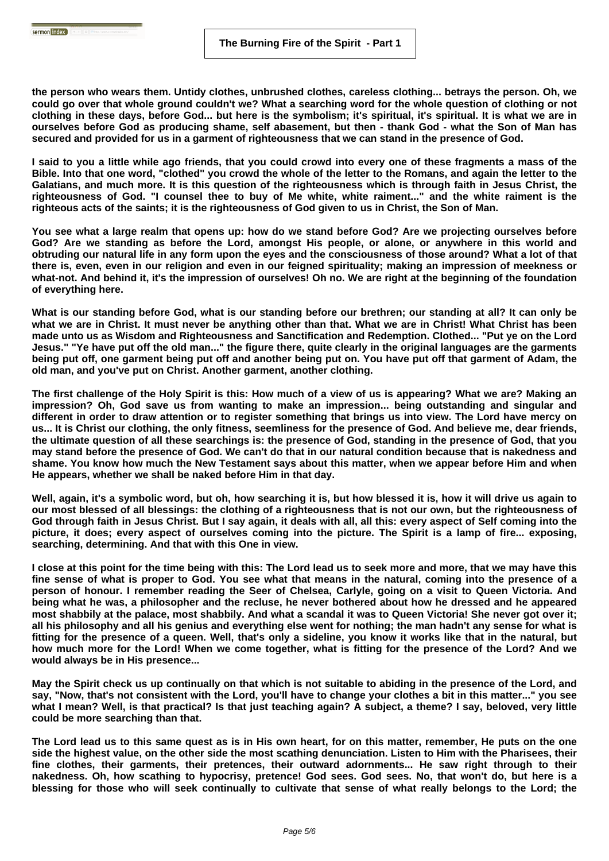**the person who wears them. Untidy clothes, unbrushed clothes, careless clothing... betrays the person. Oh, we could go over that whole ground couldn't we? What a searching word for the whole question of clothing or not clothing in these days, before God... but here is the symbolism; it's spiritual, it's spiritual. It is what we are in ourselves before God as producing shame, self abasement, but then - thank God - what the Son of Man has secured and provided for us in a garment of righteousness that we can stand in the presence of God.** 

**I said to you a little while ago friends, that you could crowd into every one of these fragments a mass of the Bible. Into that one word, "clothed" you crowd the whole of the letter to the Romans, and again the letter to the Galatians, and much more. It is this question of the righteousness which is through faith in Jesus Christ, the righteousness of God. "I counsel thee to buy of Me white, white raiment..." and the white raiment is the righteous acts of the saints; it is the righteousness of God given to us in Christ, the Son of Man.** 

**You see what a large realm that opens up: how do we stand before God? Are we projecting ourselves before God? Are we standing as before the Lord, amongst His people, or alone, or anywhere in this world and obtruding our natural life in any form upon the eyes and the consciousness of those around? What a lot of that there is, even, even in our religion and even in our feigned spirituality; making an impression of meekness or what-not. And behind it, it's the impression of ourselves! Oh no. We are right at the beginning of the foundation of everything here.** 

**What is our standing before God, what is our standing before our brethren; our standing at all? It can only be what we are in Christ. It must never be anything other than that. What we are in Christ! What Christ has been made unto us as Wisdom and Righteousness and Sanctification and Redemption. Clothed... "Put ye on the Lord Jesus." "Ye have put off the old man..." the figure there, quite clearly in the original languages are the garments being put off, one garment being put off and another being put on. You have put off that garment of Adam, the old man, and you've put on Christ. Another garment, another clothing.** 

**The first challenge of the Holy Spirit is this: How much of a view of us is appearing? What we are? Making an impression? Oh, God save us from wanting to make an impression... being outstanding and singular and different in order to draw attention or to register something that brings us into view. The Lord have mercy on us... It is Christ our clothing, the only fitness, seemliness for the presence of God. And believe me, dear friends, the ultimate question of all these searchings is: the presence of God, standing in the presence of God, that you may stand before the presence of God. We can't do that in our natural condition because that is nakedness and shame. You know how much the New Testament says about this matter, when we appear before Him and when He appears, whether we shall be naked before Him in that day.** 

**Well, again, it's a symbolic word, but oh, how searching it is, but how blessed it is, how it will drive us again to our most blessed of all blessings: the clothing of a righteousness that is not our own, but the righteousness of God through faith in Jesus Christ. But I say again, it deals with all, all this: every aspect of Self coming into the picture, it does; every aspect of ourselves coming into the picture. The Spirit is a lamp of fire... exposing, searching, determining. And that with this One in view.** 

**I close at this point for the time being with this: The Lord lead us to seek more and more, that we may have this fine sense of what is proper to God. You see what that means in the natural, coming into the presence of a person of honour. I remember reading the Seer of Chelsea, Carlyle, going on a visit to Queen Victoria. And being what he was, a philosopher and the recluse, he never bothered about how he dressed and he appeared most shabbily at the palace, most shabbily. And what a scandal it was to Queen Victoria! She never got over it; all his philosophy and all his genius and everything else went for nothing; the man hadn't any sense for what is fitting for the presence of a queen. Well, that's only a sideline, you know it works like that in the natural, but how much more for the Lord! When we come together, what is fitting for the presence of the Lord? And we would always be in His presence...** 

**May the Spirit check us up continually on that which is not suitable to abiding in the presence of the Lord, and say, "Now, that's not consistent with the Lord, you'll have to change your clothes a bit in this matter..." you see what I mean? Well, is that practical? Is that just teaching again? A subject, a theme? I say, beloved, very little could be more searching than that.** 

**The Lord lead us to this same quest as is in His own heart, for on this matter, remember, He puts on the one side the highest value, on the other side the most scathing denunciation. Listen to Him with the Pharisees, their fine clothes, their garments, their pretences, their outward adornments... He saw right through to their nakedness. Oh, how scathing to hypocrisy, pretence! God sees. God sees. No, that won't do, but here is a blessing for those who will seek continually to cultivate that sense of what really belongs to the Lord; the**